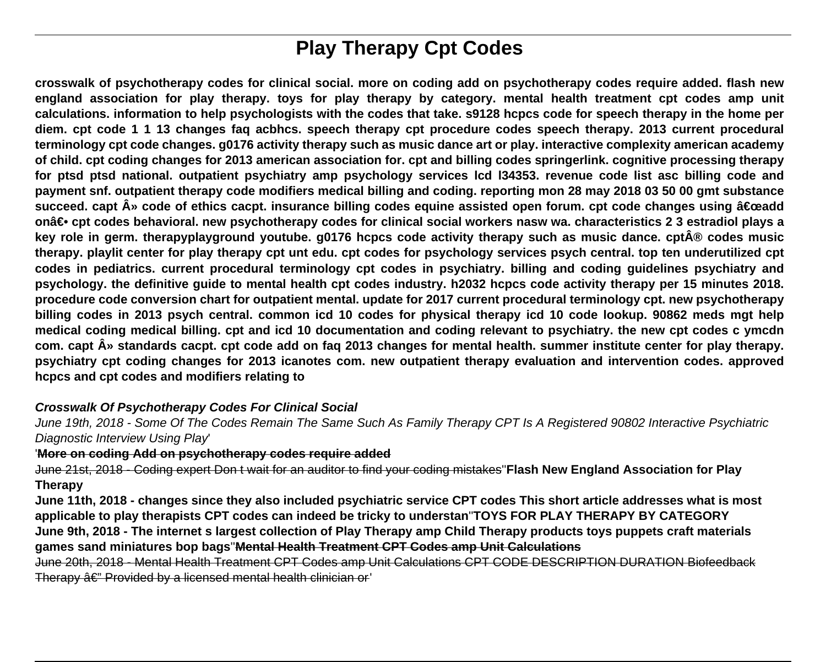# **Play Therapy Cpt Codes**

**crosswalk of psychotherapy codes for clinical social. more on coding add on psychotherapy codes require added. flash new england association for play therapy. toys for play therapy by category. mental health treatment cpt codes amp unit calculations. information to help psychologists with the codes that take. s9128 hcpcs code for speech therapy in the home per diem. cpt code 1 1 13 changes faq acbhcs. speech therapy cpt procedure codes speech therapy. 2013 current procedural terminology cpt code changes. g0176 activity therapy such as music dance art or play. interactive complexity american academy of child. cpt coding changes for 2013 american association for. cpt and billing codes springerlink. cognitive processing therapy for ptsd ptsd national. outpatient psychiatry amp psychology services lcd l34353. revenue code list asc billing code and payment snf. outpatient therapy code modifiers medical billing and coding. reporting mon 28 may 2018 03 50 00 gmt substance** succeed. capt » code of ethics cacpt. insurance billing codes equine assisted open forum. cpt code changes using "add on― cpt codes behavioral. new psychotherapy codes for clinical social workers nasw wa. characteristics 2 3 estradiol plays a key role in germ. therapyplayground youtube. g0176 hcpcs code activity therapy such as music dance. cpt® codes music **therapy. playlit center for play therapy cpt unt edu. cpt codes for psychology services psych central. top ten underutilized cpt codes in pediatrics. current procedural terminology cpt codes in psychiatry. billing and coding guidelines psychiatry and psychology. the definitive guide to mental health cpt codes industry. h2032 hcpcs code activity therapy per 15 minutes 2018. procedure code conversion chart for outpatient mental. update for 2017 current procedural terminology cpt. new psychotherapy billing codes in 2013 psych central. common icd 10 codes for physical therapy icd 10 code lookup. 90862 meds mgt help medical coding medical billing. cpt and icd 10 documentation and coding relevant to psychiatry. the new cpt codes c ymcdn com. capt » standards cacpt. cpt code add on faq 2013 changes for mental health. summer institute center for play therapy. psychiatry cpt coding changes for 2013 icanotes com. new outpatient therapy evaluation and intervention codes. approved hcpcs and cpt codes and modifiers relating to**

## **Crosswalk Of Psychotherapy Codes For Clinical Social**

June 19th, 2018 - Some Of The Codes Remain The Same Such As Family Therapy CPT Is A Registered 90802 Interactive Psychiatric Diagnostic Interview Using Play'

#### '**More on coding Add on psychotherapy codes require added**

June 21st, 2018 - Coding expert Don t wait for an auditor to find your coding mistakes''**Flash New England Association for Play Therapy**

**June 11th, 2018 - changes since they also included psychiatric service CPT codes This short article addresses what is most applicable to play therapists CPT codes can indeed be tricky to understan**''**TOYS FOR PLAY THERAPY BY CATEGORY June 9th, 2018 - The internet s largest collection of Play Therapy amp Child Therapy products toys puppets craft materials games sand miniatures bop bags**''**Mental Health Treatment CPT Codes amp Unit Calculations**

June 20th, 2018 - Mental Health Treatment CPT Codes amp Unit Calculations CPT CODE DESCRIPTION DURATION Biofeedback Therapy  $\hat{a} \in \mathbb{Z}^n$  Provided by a licensed mental health clinician or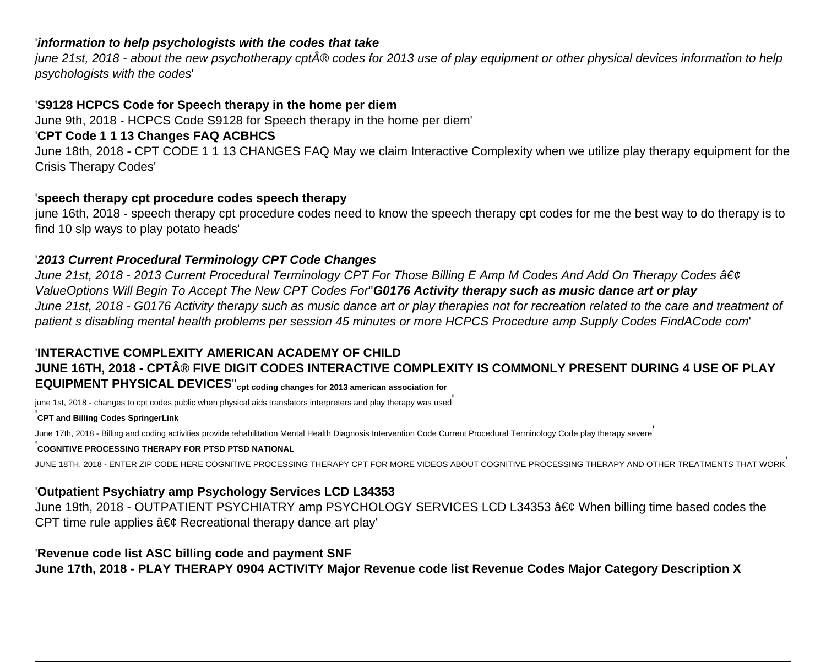## '**information to help psychologists with the codes that take**

june 21st, 2018 - about the new psychotherapy cpt® codes for 2013 use of play equipment or other physical devices information to help psychologists with the codes'

## '**S9128 HCPCS Code for Speech therapy in the home per diem**

June 9th, 2018 - HCPCS Code S9128 for Speech therapy in the home per diem'

## '**CPT Code 1 1 13 Changes FAQ ACBHCS**

June 18th, 2018 - CPT CODE 1 1 13 CHANGES FAQ May we claim Interactive Complexity when we utilize play therapy equipment for the Crisis Therapy Codes'

#### '**speech therapy cpt procedure codes speech therapy**

june 16th, 2018 - speech therapy cpt procedure codes need to know the speech therapy cpt codes for me the best way to do therapy is to find 10 slp ways to play potato heads'

#### '**2013 Current Procedural Terminology CPT Code Changes**

June 21st, 2018 - 2013 Current Procedural Terminology CPT For Those Billing E Amp M Codes And Add On Therapy Codes • ValueOptions Will Begin To Accept The New CPT Codes For''**G0176 Activity therapy such as music dance art or play** June 21st, 2018 - G0176 Activity therapy such as music dance art or play therapies not for recreation related to the care and treatment of patient s disabling mental health problems per session 45 minutes or more HCPCS Procedure amp Supply Codes FindACode com'

# '**INTERACTIVE COMPLEXITY AMERICAN ACADEMY OF CHILD** JUNE 16TH, 2018 - CPT® FIVE DIGIT CODES INTERACTIVE COMPLEXITY IS COMMONLY PRESENT DURING 4 USE OF PLAY **EQUIPMENT PHYSICAL DEVICES**''**cpt coding changes for 2013 american association for**

june 1st, 2018 - changes to cpt codes public when physical aids translators interpreters and play therapy was used'

#### '**CPT and Billing Codes SpringerLink**

June 17th, 2018 - Billing and coding activities provide rehabilitation Mental Health Diagnosis Intervention Code Current Procedural Terminology Code play therapy severe

## '**COGNITIVE PROCESSING THERAPY FOR PTSD PTSD NATIONAL**

JUNE 18TH, 2018 - ENTER ZIP CODE HERE COGNITIVE PROCESSING THERAPY CPT FOR MORE VIDEOS ABOUT COGNITIVE PROCESSING THERAPY AND OTHER TREATMENTS THAT WORK'

## '**Outpatient Psychiatry amp Psychology Services LCD L34353**

June 19th, 2018 - OUTPATIENT PSYCHIATRY amp PSYCHOLOGY SERVICES LCD L34353 • When billing time based codes the CPT time rule applies  $\hat{a} \in \mathcal{C}$  Recreational therapy dance art play'

#### '**Revenue code list ASC billing code and payment SNF**

**June 17th, 2018 - PLAY THERAPY 0904 ACTIVITY Major Revenue code list Revenue Codes Major Category Description X**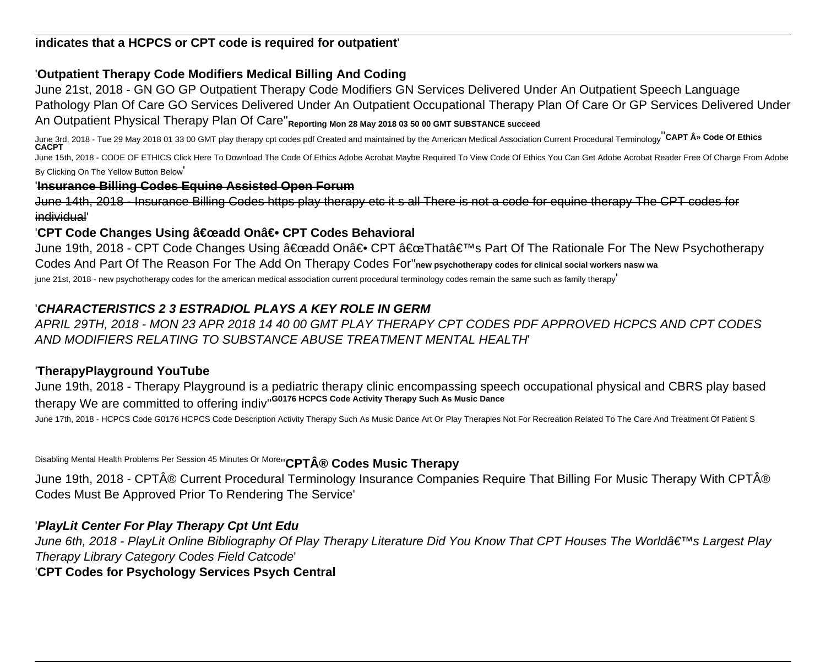**indicates that a HCPCS or CPT code is required for outpatient**'

## '**Outpatient Therapy Code Modifiers Medical Billing And Coding**

June 21st, 2018 - GN GO GP Outpatient Therapy Code Modifiers GN Services Delivered Under An Outpatient Speech Language Pathology Plan Of Care GO Services Delivered Under An Outpatient Occupational Therapy Plan Of Care Or GP Services Delivered Under An Outpatient Physical Therapy Plan Of Care''**Reporting Mon 28 May 2018 03 50 00 GMT SUBSTANCE succeed**

June 3rd, 2018 - Tue 29 May 2018 01 33 00 GMT play therapy cpt codes pdf Created and maintained by the American Medical Association Current Procedural Terminology''**CAPT » Code Of Ethics CACPT** June 15th, 2018 - CODE OF ETHICS Click Here To Download The Code Of Ethics Adobe Acrobat Maybe Required To View Code Of Ethics You Can Get Adobe Acrobat Reader Free Of Charge From Adobe

By Clicking On The Yellow Button Below'

## '**Insurance Billing Codes Equine Assisted Open Forum**

June 14th, 2018 - Insurance Billing Codes https play therapy etc it s all There is not a code for equine therapy The CPT codes for individual'

## 'CPT Code Changes Using "add On― CPT Codes Behavioral

June 19th, 2018 - CPT Code Changes Using "add On― CPT "That's Part Of The Rationale For The New Psychotherapy Codes And Part Of The Reason For The Add On Therapy Codes For''**new psychotherapy codes for clinical social workers nasw wa**

june 21st, 2018 - new psychotherapy codes for the american medical association current procedural terminology codes remain the same such as family therapy

## '**CHARACTERISTICS 2 3 ESTRADIOL PLAYS A KEY ROLE IN GERM**

APRIL 29TH, 2018 - MON 23 APR 2018 14 40 00 GMT PLAY THERAPY CPT CODES PDF APPROVED HCPCS AND CPT CODES AND MODIFIERS RELATING TO SUBSTANCE ABUSE TREATMENT MENTAL HEALTH'

## '**TherapyPlayground YouTube**

June 19th, 2018 - Therapy Playground is a pediatric therapy clinic encompassing speech occupational physical and CBRS play based therapy We are committed to offering indiv''**G0176 HCPCS Code Activity Therapy Such As Music Dance**

June 17th, 2018 - HCPCS Code G0176 HCPCS Code Description Activity Therapy Such As Music Dance Art Or Play Therapies Not For Recreation Related To The Care And Treatment Of Patient S

Disabling Mental Health Problems Per Session 45 Minutes Or More<sup>1</sup> CPT® Codes Music Therapy

June 19th, 2018 - CPT® Current Procedural Terminology Insurance Companies Require That Billing For Music Therapy With CPT® Codes Must Be Approved Prior To Rendering The Service'

## '**PlayLit Center For Play Therapy Cpt Unt Edu**

June 6th, 2018 - PlayLit Online Bibliography Of Play Therapy Literature Did You Know That CPT Houses The World's Largest Play Therapy Library Category Codes Field Catcode'

## '**CPT Codes for Psychology Services Psych Central**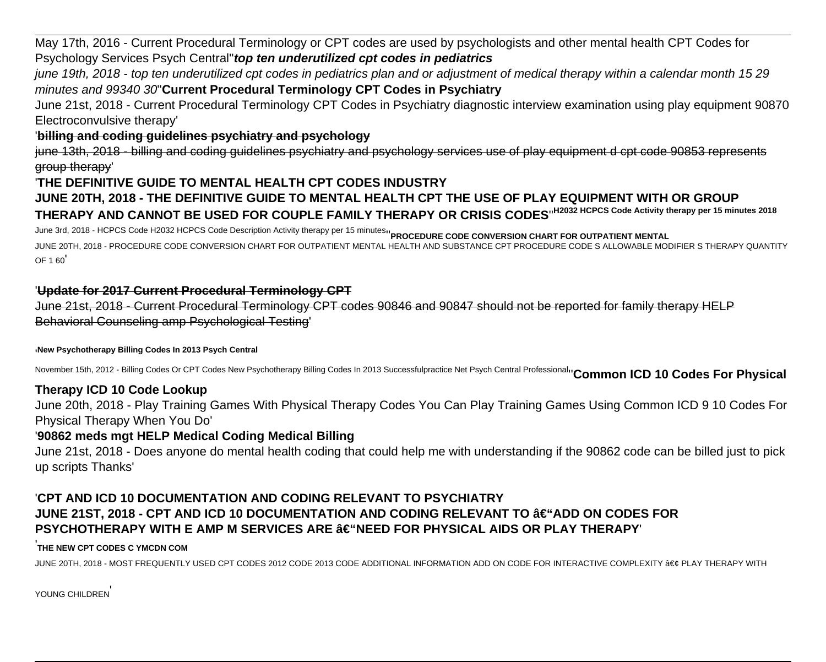May 17th, 2016 - Current Procedural Terminology or CPT codes are used by psychologists and other mental health CPT Codes for Psychology Services Psych Central''**top ten underutilized cpt codes in pediatrics**

june 19th, 2018 - top ten underutilized cpt codes in pediatrics plan and or adjustment of medical therapy within a calendar month 15 29 minutes and 99340 30''**Current Procedural Terminology CPT Codes in Psychiatry**

June 21st, 2018 - Current Procedural Terminology CPT Codes in Psychiatry diagnostic interview examination using play equipment 90870 Electroconvulsive therapy'

## '**billing and coding guidelines psychiatry and psychology**

june 13th, 2018 - billing and coding guidelines psychiatry and psychology services use of play equipment d cpt code 90853 represents group therapy'

## '**THE DEFINITIVE GUIDE TO MENTAL HEALTH CPT CODES INDUSTRY**

# **JUNE 20TH, 2018 - THE DEFINITIVE GUIDE TO MENTAL HEALTH CPT THE USE OF PLAY EQUIPMENT WITH OR GROUP THERAPY AND CANNOT BE USED FOR COUPLE FAMILY THERAPY OR CRISIS CODES**''**H2032 HCPCS Code Activity therapy per 15 minutes 2018**

June 3rd, 2018 - HCPCS Code H2032 HCPCS Code Description Activity therapy per 15 minutes''**PROCEDURE CODE CONVERSION CHART FOR OUTPATIENT MENTAL**

JUNE 20TH, 2018 - PROCEDURE CODE CONVERSION CHART FOR OUTPATIENT MENTAL HEALTH AND SUBSTANCE CPT PROCEDURE CODE S ALLOWABLE MODIFIER S THERAPY QUANTITY OF 1 60'

### '**Update for 2017 Current Procedural Terminology CPT**

June 21st, 2018 - Current Procedural Terminology CPT codes 90846 and 90847 should not be reported for family therapy HELP Behavioral Counseling amp Psychological Testing'

#### '**New Psychotherapy Billing Codes In 2013 Psych Central**

November 15th, 2012 - Billing Codes Or CPT Codes New Psychotherapy Billing Codes In 2013 Successfulpractice Net Psych Central Professional''**Common ICD 10 Codes For Physical**

#### **Therapy ICD 10 Code Lookup**

June 20th, 2018 - Play Training Games With Physical Therapy Codes You Can Play Training Games Using Common ICD 9 10 Codes For Physical Therapy When You Do'

#### '**90862 meds mgt HELP Medical Coding Medical Billing**

June 21st, 2018 - Does anyone do mental health coding that could help me with understanding if the 90862 code can be billed just to pick up scripts Thanks'

## '**CPT AND ICD 10 DOCUMENTATION AND CODING RELEVANT TO PSYCHIATRY JUNE 21ST, 2018 - CPT AND ICD 10 DOCUMENTATION AND CODING RELEVANT TO †"ADD ON CODES FOR PSYCHOTHERAPY WITH E AMP M SERVICES ARE**  $\hat{a} \in \text{``NEED FOR PHYSICAL AIDS OR PLAY THEORY}$

#### **THE NEW CPT CODES C YMCDN COM**

JUNE 20TH, 2018 - MOST FREQUENTLY USED CPT CODES 2012 CODE 2013 CODE ADDITIONAL INFORMATION ADD ON CODE FOR INTERACTIVE COMPLEXITY • PLAY THERAPY WITH

YOUNG CHILDREN